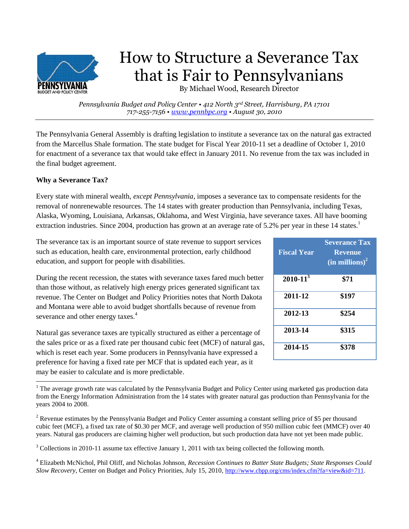

# How to Structure a Severance Tax that is Fair to Pennsylvanians

By Michael Wood, Research Director

*Pennsylvania Budget and Policy Center • 412 North 3rd Street, Harrisburg, PA 17101 717-255-7156 • [www.pennbpc.org](http://www.pennbpc.org/) • August 30, 2010*

The Pennsylvania General Assembly is drafting legislation to institute a severance tax on the natural gas extracted from the Marcellus Shale formation. The state budget for Fiscal Year 2010-11 set a deadline of October 1, 2010 for enactment of a severance tax that would take effect in January 2011. No revenue from the tax was included in the final budget agreement.

# **Why a Severance Tax?**

 $\overline{\phantom{a}}$ 

Every state with mineral wealth, *except Pennsylvania*, imposes a severance tax to compensate residents for the removal of nonrenewable resources. The 14 states with greater production than Pennsylvania, including Texas, Alaska, Wyoming, Louisiana, Arkansas, Oklahoma, and West Virginia, have severance taxes. All have booming extraction industries. Since 2004, production has grown at an average rate of 5.2% per year in these 14 states.<sup>1</sup>

The severance tax is an important source of state revenue to support services such as education, health care, environmental protection, early childhood education, and support for people with disabilities.

During the recent recession, the states with severance taxes fared much better than those without, as relatively high energy prices generated significant tax revenue. The Center on Budget and Policy Priorities notes that North Dakota and Montana were able to avoid budget shortfalls because of revenue from severance and other energy taxes.<sup>4</sup>

| <b>Fiscal Year</b> | <b>Severance Tax</b><br><b>Revenue</b><br>$(in$ millions) <sup>2</sup> |  |  |  |  |  |
|--------------------|------------------------------------------------------------------------|--|--|--|--|--|
| $2010 - 113$       | \$71                                                                   |  |  |  |  |  |
| 2011-12            | \$197                                                                  |  |  |  |  |  |
| 2012-13            | \$254                                                                  |  |  |  |  |  |
| 2013-14            | \$315                                                                  |  |  |  |  |  |
| 2014-15            | \$378                                                                  |  |  |  |  |  |

Natural gas severance taxes are typically structured as either a percentage of the sales price or as a fixed rate per thousand cubic feet (MCF) of natural gas, which is reset each year. Some producers in Pennsylvania have expressed a preference for having a fixed rate per MCF that is updated each year, as it may be easier to calculate and is more predictable.

<sup>&</sup>lt;sup>1</sup> The average growth rate was calculated by the Pennsylvania Budget and Policy Center using marketed gas production data from the Energy Information Administration from the 14 states with greater natural gas production than Pennsylvania for the years 2004 to 2008.

<sup>&</sup>lt;sup>2</sup> Revenue estimates by the Pennsylvania Budget and Policy Center assuming a constant selling price of \$5 per thousand cubic feet (MCF), a fixed tax rate of \$0.30 per MCF, and average well production of 950 million cubic feet (MMCF) over 40 years. Natural gas producers are claiming higher well production, but such production data have not yet been made public.

<sup>&</sup>lt;sup>3</sup> Collections in 2010-11 assume tax effective January 1, 2011 with tax being collected the following month.

<sup>4</sup> Elizabeth McNichol, Phil Oliff, and Nicholas Johnson, *Recession Continues to Batter State Budgets; State Responses Could Slow Recovery*, Center on Budget and Policy Priorities, July 15, 2010, [http://www.cbpp.org/cms/index.cfm?fa=view&id=711.](http://www.cbpp.org/cms/index.cfm?fa=view&id=711)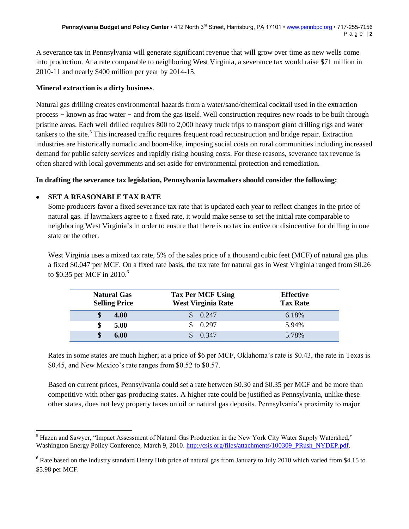A severance tax in Pennsylvania will generate significant revenue that will grow over time as new wells come into production. At a rate comparable to neighboring West Virginia, a severance tax would raise \$71 million in 2010-11 and nearly \$400 million per year by 2014-15.

### **Mineral extraction is a dirty business**.

Natural gas drilling creates environmental hazards from a water/sand/chemical cocktail used in the extraction process - known as frac water - and from the gas itself. Well construction requires new roads to be built through pristine areas. Each well drilled requires 800 to 2,000 heavy truck trips to transport giant drilling rigs and water tankers to the site.<sup>5</sup> This increased traffic requires frequent road reconstruction and bridge repair. Extraction industries are historically nomadic and boom-like, imposing social costs on rural communities including increased demand for public safety services and rapidly rising housing costs. For these reasons, severance tax revenue is often shared with local governments and set aside for environmental protection and remediation.

## **In drafting the severance tax legislation, Pennsylvania lawmakers should consider the following:**

# **SET A REASONABLE TAX RATE**

Some producers favor a fixed severance tax rate that is updated each year to reflect changes in the price of natural gas. If lawmakers agree to a fixed rate, it would make sense to set the initial rate comparable to neighboring West Virginia's in order to ensure that there is no tax incentive or disincentive for drilling in one state or the other.

West Virginia uses a mixed tax rate, 5% of the sales price of a thousand cubic feet (MCF) of natural gas plus a fixed \$0.047 per MCF. On a fixed rate basis, the tax rate for natural gas in West Virginia ranged from \$0.26 to \$0.35 per MCF in 2010.<sup>6</sup>

| <b>Natural Gas</b><br><b>Selling Price</b> | <b>Tax Per MCF Using</b><br><b>West Virginia Rate</b> | <b>Effective</b><br><b>Tax Rate</b> |
|--------------------------------------------|-------------------------------------------------------|-------------------------------------|
| 4.00                                       | $\frac{\$}{0.247}$                                    | 6.18%                               |
| 5.00                                       | 0.297                                                 | 5.94%                               |
| \$<br>6.00                                 | \$0.347                                               | 5.78%                               |

Rates in some states are much higher; at a price of \$6 per MCF, Oklahoma's rate is \$0.43, the rate in Texas is \$0.45, and New Mexico's rate ranges from \$0.52 to \$0.57.

Based on current prices, Pennsylvania could set a rate between \$0.30 and \$0.35 per MCF and be more than competitive with other gas-producing states. A higher rate could be justified as Pennsylvania, unlike these other states, does not levy property taxes on oil or natural gas deposits. Pennsylvania's proximity to major

 $\overline{a}$ <sup>5</sup> Hazen and Sawyer, "Impact Assessment of Natural Gas Production in the New York City Water Supply Watershed," Washington Energy Policy Conference, March 9, 2010. [http://csis.org/files/attachments/100309\\_PRush\\_NYDEP.pdf.](http://csis.org/files/attachments/100309_PRush_NYDEP.pdf)

<sup>&</sup>lt;sup>6</sup> Rate based on the industry standard Henry Hub price of natural gas from January to July 2010 which varied from \$4.15 to \$5.98 per MCF.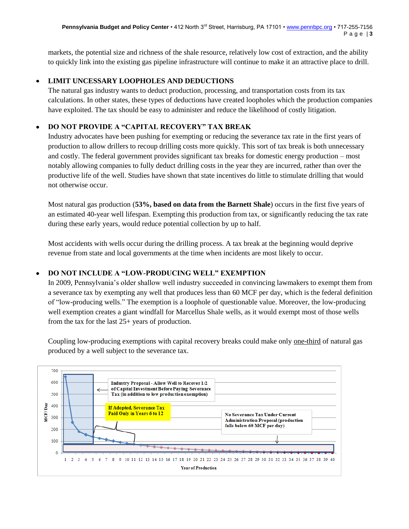markets, the potential size and richness of the shale resource, relatively low cost of extraction, and the ability to quickly link into the existing gas pipeline infrastructure will continue to make it an attractive place to drill.

### **LIMIT UNCESSARY LOOPHOLES AND DEDUCTIONS**

The natural gas industry wants to deduct production, processing, and transportation costs from its tax calculations. In other states, these types of deductions have created loopholes which the production companies have exploited. The tax should be easy to administer and reduce the likelihood of costly litigation.

# **DO NOT PROVIDE A "CAPITAL RECOVERY" TAX BREAK**

Industry advocates have been pushing for exempting or reducing the severance tax rate in the first years of production to allow drillers to recoup drilling costs more quickly. This sort of tax break is both unnecessary and costly. The federal government provides significant tax breaks for domestic energy production – most notably allowing companies to fully deduct drilling costs in the year they are incurred, rather than over the productive life of the well. Studies have shown that state incentives do little to stimulate drilling that would not otherwise occur.

Most natural gas production (**53%, based on data from the Barnett Shale**) occurs in the first five years of an estimated 40-year well lifespan. Exempting this production from tax, or significantly reducing the tax rate during these early years, would reduce potential collection by up to half.

Most accidents with wells occur during the drilling process. A tax break at the beginning would deprive revenue from state and local governments at the time when incidents are most likely to occur.

# **DO NOT INCLUDE A "LOW-PRODUCING WELL" EXEMPTION**

In 2009, Pennsylvania's older shallow well industry succeeded in convincing lawmakers to exempt them from a severance tax by exempting any well that produces less than 60 MCF per day, which is the federal definition of "low-producing wells." The exemption is a loophole of questionable value. Moreover, the low-producing well exemption creates a giant windfall for Marcellus Shale wells, as it would exempt most of those wells from the tax for the last 25+ years of production.

Coupling low-producing exemptions with capital recovery breaks could make only one-third of natural gas produced by a well subject to the severance tax.

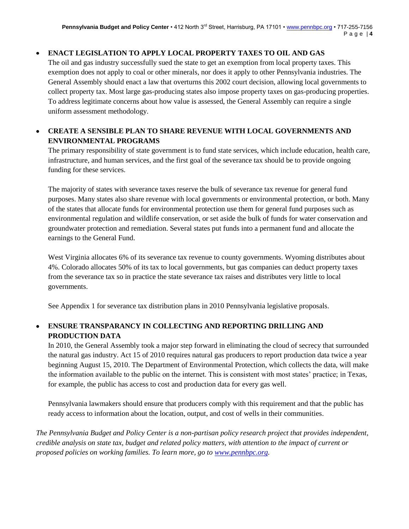# **ENACT LEGISLATION TO APPLY LOCAL PROPERTY TAXES TO OIL AND GAS**

The oil and gas industry successfully sued the state to get an exemption from local property taxes. This exemption does not apply to coal or other minerals, nor does it apply to other Pennsylvania industries. The General Assembly should enact a law that overturns this 2002 court decision, allowing local governments to collect property tax. Most large gas-producing states also impose property taxes on gas-producing properties. To address legitimate concerns about how value is assessed, the General Assembly can require a single uniform assessment methodology.

## **CREATE A SENSIBLE PLAN TO SHARE REVENUE WITH LOCAL GOVERNMENTS AND ENVIRONMENTAL PROGRAMS**

The primary responsibility of state government is to fund state services, which include education, health care, infrastructure, and human services, and the first goal of the severance tax should be to provide ongoing funding for these services.

The majority of states with severance taxes reserve the bulk of severance tax revenue for general fund purposes. Many states also share revenue with local governments or environmental protection, or both. Many of the states that allocate funds for environmental protection use them for general fund purposes such as environmental regulation and wildlife conservation, or set aside the bulk of funds for water conservation and groundwater protection and remediation. Several states put funds into a permanent fund and allocate the earnings to the General Fund.

West Virginia allocates 6% of its severance tax revenue to county governments. Wyoming distributes about 4%. Colorado allocates 50% of its tax to local governments, but gas companies can deduct property taxes from the severance tax so in practice the state severance tax raises and distributes very little to local governments.

See Appendix 1 for severance tax distribution plans in 2010 Pennsylvania legislative proposals.

# **ENSURE TRANSPARANCY IN COLLECTING AND REPORTING DRILLING AND PRODUCTION DATA**

In 2010, the General Assembly took a major step forward in eliminating the cloud of secrecy that surrounded the natural gas industry. Act 15 of 2010 requires natural gas producers to report production data twice a year beginning August 15, 2010. The Department of Environmental Protection, which collects the data, will make the information available to the public on the internet. This is consistent with most states' practice; in Texas, for example, the public has access to cost and production data for every gas well.

Pennsylvania lawmakers should ensure that producers comply with this requirement and that the public has ready access to information about the location, output, and cost of wells in their communities.

*The Pennsylvania Budget and Policy Center is a non-partisan policy research project that provides independent, credible analysis on state tax, budget and related policy matters, with attention to the impact of current or proposed policies on working families. To learn more, go to [www.pennbpc.org.](http://www.pennbpc.org/)*